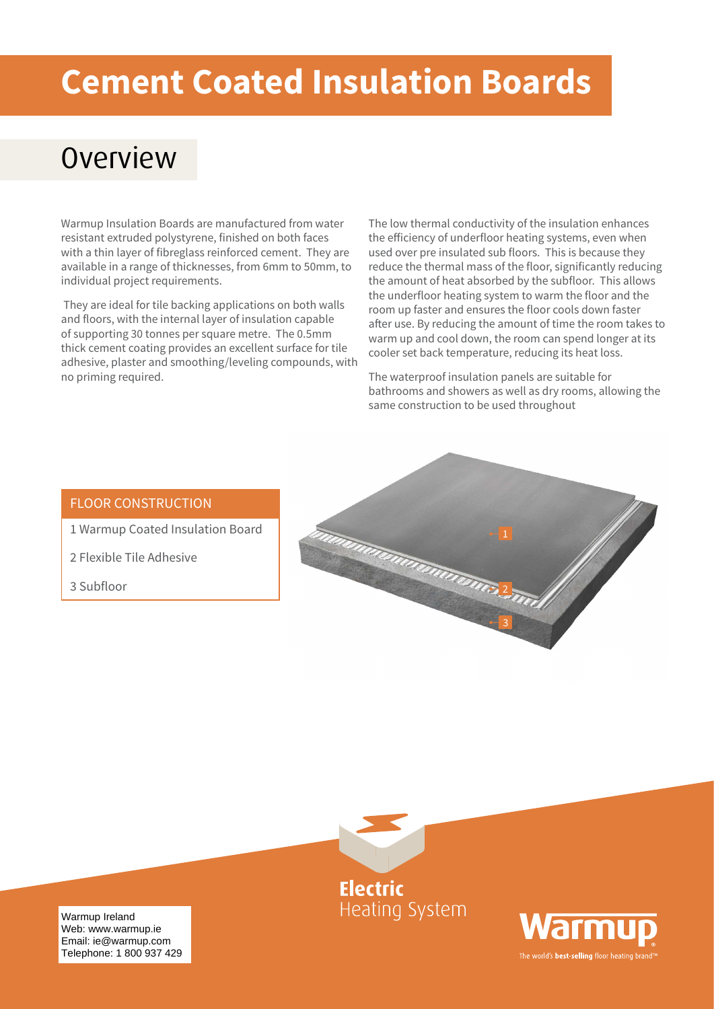# **Cement Coated Insulation Boards**

## **Overview**

Warmup Insulation Boards are manufactured from water resistant extruded polystyrene, finished on both faces with a thin layer of fibreglass reinforced cement. They are available in a range of thicknesses, from 6mm to 50mm, to individual project requirements.

 They are ideal for tile backing applications on both walls and floors, with the internal layer of insulation capable of supporting 30 tonnes per square metre. The 0.5mm thick cement coating provides an excellent surface for tile adhesive, plaster and smoothing/leveling compounds, with no priming required.

The low thermal conductivity of the insulation enhances the efficiency of underfloor heating systems, even when used over pre insulated sub floors. This is because they reduce the thermal mass of the floor, significantly reducing the amount of heat absorbed by the subfloor. This allows the underfloor heating system to warm the floor and the room up faster and ensures the floor cools down faster after use. By reducing the amount of time the room takes to warm up and cool down, the room can spend longer at its cooler set back temperature, reducing its heat loss.

The waterproof insulation panels are suitable for bathrooms and showers as well as dry rooms, allowing the same construction to be used throughout

### FLOOR CONSTRUCTION

- 1 Warmup Coated Insulation Board
- 2 Flexible Tile Adhesive
- 3 Subfloor





**Heating System** 



Warmup Ireland uk@warmup.com Email: ie@warmup.com Telephone: 1 800 937 429 Web: www.warmup.ie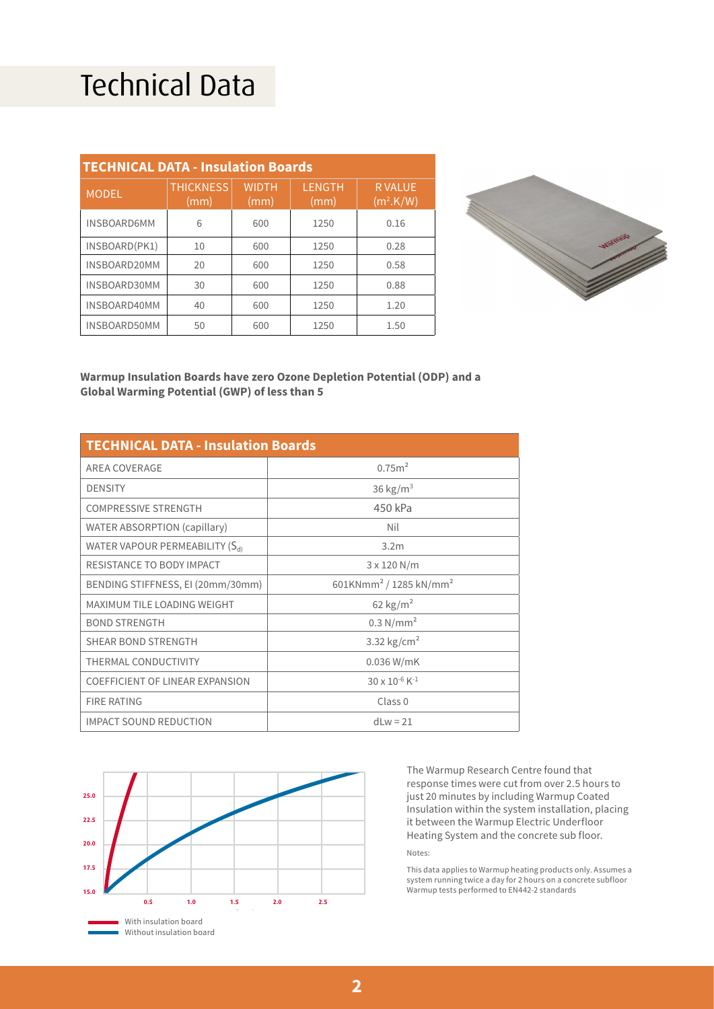## Technical Data

| <b>TECHNICAL DATA - Insulation Boards</b> |                          |                      |                       |                                        |
|-------------------------------------------|--------------------------|----------------------|-----------------------|----------------------------------------|
| <b>MODEL</b>                              | <b>THICKNESS</b><br>(mm) | <b>WIDTH</b><br>(mm) | <b>LENGTH</b><br>(mm) | <b>RVALUE</b><br>(m <sup>2</sup> .K/W) |
| <b>INSBOARD6MM</b>                        | 6                        | 600                  | 1250                  | 0.16                                   |
| INSBOARD(PK1)                             | 10                       | 600                  | 1250                  | 0.28                                   |
| INSBOARD20MM                              | 20                       | 600                  | 1250                  | 0.58                                   |
| INSBOARD30MM                              | 30                       | 600                  | 1250                  | 0.88                                   |
| INSBOARD40MM                              | 40                       | 600                  | 1250                  | 1.20                                   |
| INSBOARD50MM                              | 50                       | 600                  | 1250                  | 1.50                                   |



#### **Warmup Insulation Boards have zero Ozone Depletion Potential (ODP) and a Global Warming Potential (GWP) of less than 5**

| <b>TECHNICAL DATA - Insulation Boards</b>  |                                                |  |  |
|--------------------------------------------|------------------------------------------------|--|--|
| AREA COVERAGE                              | 0.75m <sup>2</sup>                             |  |  |
| <b>DENSITY</b>                             | 36 kg/ $m3$                                    |  |  |
| <b>COMPRESSIVE STRENGTH</b>                | 450 kPa                                        |  |  |
| <b>WATER ABSORPTION (capillary)</b>        | Nil                                            |  |  |
| WATER VAPOUR PERMEABILITY (S <sub>d)</sub> | 3.2 <sub>m</sub>                               |  |  |
| <b>RESISTANCE TO BODY IMPACT</b>           | 3 x 120 N/m                                    |  |  |
| BENDING STIFFNESS, EI (20mm/30mm)          | 601KNmm <sup>2</sup> / 1285 kN/mm <sup>2</sup> |  |  |
| MAXIMUM TILE LOADING WEIGHT                | 62 kg/ $m2$                                    |  |  |
| <b>BOND STRENGTH</b>                       | 0.3 N/mm <sup>2</sup>                          |  |  |
| <b>SHEAR BOND STRENGTH</b>                 | 3.32 $\text{kg/cm}^2$                          |  |  |
| <b>THERMAL CONDUCTIVITY</b>                | $0.036$ W/mK                                   |  |  |
| <b>COEFFICIENT OF LINEAR EXPANSION</b>     | $30 \times 10^{-6}$ K <sup>-1</sup>            |  |  |
| <b>FIRE RATING</b>                         | Class <sub>0</sub>                             |  |  |
| <b>IMPACT SOUND REDUCTION</b>              | dl $w = 21$                                    |  |  |



The Warmup Research Centre found that response times were cut from over 2.5 hours to just 20 minutes by including Warmup Coated Insulation within the system installation, placing it between the Warmup Electric Underfloor Heating System and the concrete sub floor. Notes:

This data applies to Warmup heating products only. Assumes a system running twice a day for 2 hours on a concrete subfloor Warmup tests performed to EN442-2 standards